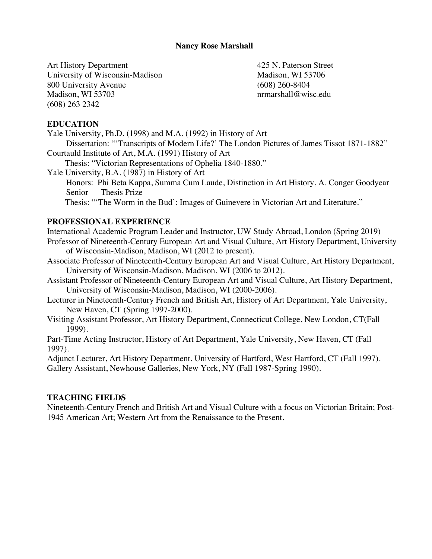#### **Nancy Rose Marshall**

Art History Department University of Wisconsin-Madison 800 University Avenue Madison, WI 53703 (608) 263 2342

425 N. Paterson Street Madison, WI 53706 (608) 260-8404 nrmarshall@wisc.edu

#### **EDUCATION**

Yale University, Ph.D. (1998) and M.A. (1992) in History of Art

Dissertation: "'Transcripts of Modern Life?' The London Pictures of James Tissot 1871-1882" Courtauld Institute of Art, M.A. (1991) History of Art

Thesis: "Victorian Representations of Ophelia 1840-1880."

Yale University, B.A. (1987) in History of Art

Honors: Phi Beta Kappa, Summa Cum Laude, Distinction in Art History, A. Conger Goodyear Senior Thesis Prize

Thesis: "'The Worm in the Bud': Images of Guinevere in Victorian Art and Literature."

### **PROFESSIONAL EXPERIENCE**

International Academic Program Leader and Instructor, UW Study Abroad, London (Spring 2019) Professor of Nineteenth-Century European Art and Visual Culture, Art History Department, University of Wisconsin-Madison, Madison, WI (2012 to present).

- Associate Professor of Nineteenth-Century European Art and Visual Culture, Art History Department, University of Wisconsin-Madison, Madison, WI (2006 to 2012).
- Assistant Professor of Nineteenth-Century European Art and Visual Culture, Art History Department, University of Wisconsin-Madison, Madison, WI (2000-2006).

Lecturer in Nineteenth-Century French and British Art, History of Art Department, Yale University, New Haven, CT (Spring 1997-2000).

Visiting Assistant Professor, Art History Department, Connecticut College, New London, CT(Fall 1999).

Part-Time Acting Instructor, History of Art Department, Yale University, New Haven, CT (Fall 1997).

Adjunct Lecturer, Art History Department. University of Hartford, West Hartford, CT (Fall 1997). Gallery Assistant, Newhouse Galleries, New York, NY (Fall 1987-Spring 1990).

#### **TEACHING FIELDS**

Nineteenth-Century French and British Art and Visual Culture with a focus on Victorian Britain; Post-1945 American Art; Western Art from the Renaissance to the Present.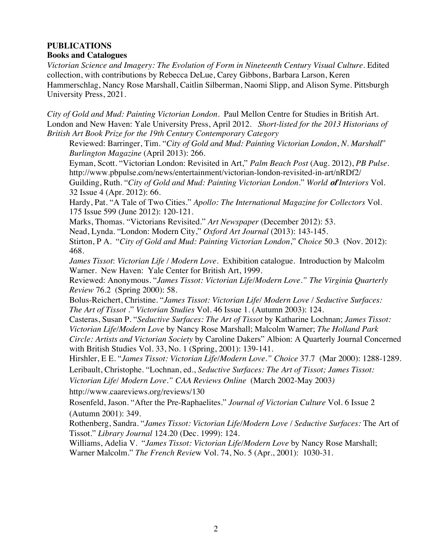#### **PUBLICATIONS Books and Catalogues**

*Victorian Science and Imagery: The Evolution of Form in Nineteenth Century Visual Culture.* Edited collection, with contributions by Rebecca DeLue, Carey Gibbons, Barbara Larson, Keren Hammerschlag, Nancy Rose Marshall, Caitlin Silberman, Naomi Slipp, and Alison Syme. Pittsburgh University Press, 2021.

*City of Gold and Mud: Painting Victorian London.* Paul Mellon Centre for Studies in British Art. London and New Haven: Yale University Press, April 2012. *Short-listed for the 2013 Historians of British Art Book Prize for the 19th Century Contemporary Category*

Reviewed: Barringer, Tim. "*City of Gold and Mud: Painting Victorian London*, *N. Marshall*" *Burlington Magazine* (April 2013): 266.

Eyman, Scott. "Victorian London: Revisited in Art," *Palm Beach Post* (Aug. 2012), *PB Pulse.* http://www.pbpulse.com/news/entertainment/victorian-london-revisited-in-art/nRDf2/ Guilding, Ruth. "*City of Gold and Mud: Painting Victorian London*." *World* **of** *Interiors* Vol. 32 Issue 4 (Apr. 2012): 66.

Hardy, Pat. "A Tale of Two Cities." *Apollo: The International Magazine for Collectors* Vol. 175 Issue 599 (June 2012): 120-121.

Marks, Thomas. "Victorians Revisited." *Art Newspaper* (December 2012): 53.

Nead, Lynda. "London: Modern City," *Oxford Art Journal* (2013): 143-145.

Stirton, P A. "*City of Gold and Mud: Painting Victorian London*," *Choice* 50.3 (Nov. 2012): 468.

*James Tissot*: *Victorian Life / Modern Love.* Exhibition catalogue. Introduction by Malcolm Warner. New Haven: Yale Center for British Art, 1999.

Reviewed: Anonymous. "*James Tissot: Victorian Life/Modern Love." The Virginia Quarterly Review* 76.2 (Spring 2000): 58.

Bolus-Reichert, Christine. "*James Tissot: Victorian Life/ Modern Love / Seductive Surfaces: The Art of Tissot* ." *Victorian Studies* Vol. 46 Issue 1. (Autumn 2003): 124.

Casteras, Susan P. "*Seductive Surfaces: The Art of Tissot* by Katharine Lochnan; *James Tissot: Victorian Life/Modern Love* by Nancy Rose Marshall; Malcolm Warner; *The Holland Park Circle: Artists and Victorian Society* by Caroline Dakers" Albion: A Quarterly Journal Concerned with British Studies Vol. 33, No. 1 (Spring, 2001): 139-141.

Hirshler, E E. "*James Tissot: Victorian Life/Modern Love." Choice* 37.7 (Mar 2000): 1288-1289. Leribault, Christophe. "Lochnan, ed., *Seductive Surfaces: The Art of Tissot; James Tissot:* 

*Victorian Life/ Modern Love." CAA Reviews Online* (March 2002-May 2003*)*

http://www.caareviews.org/reviews/130

Rosenfeld, Jason. "After the Pre-Raphaelites." *Journal of Victorian Culture* Vol. 6 Issue 2 (Autumn 2001): 349.

Rothenberg, Sandra. "*James Tissot: Victorian Life/Modern Love / Seductive Surfaces:* The Art of Tissot." *Library Journal* 124.20 (Dec. 1999): 124.

Williams, Adelia V. "*James Tissot: Victorian Life/Modern Love* by Nancy Rose Marshall; Warner Malcolm." *The French Revie*w Vol. 74, No. 5 (Apr., 2001): 1030-31.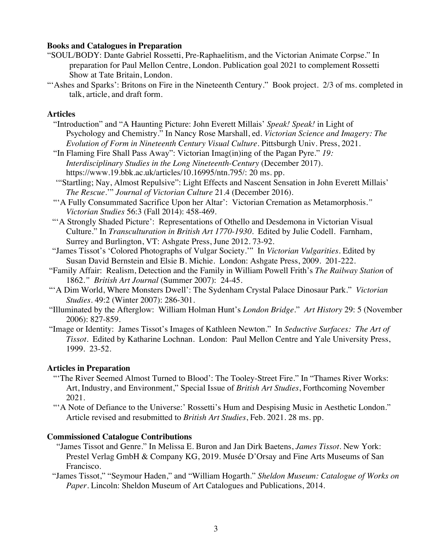#### **Books and Catalogues in Preparation**

- "SOUL/BODY: Dante Gabriel Rossetti, Pre-Raphaelitism, and the Victorian Animate Corpse." In preparation for Paul Mellon Centre, London. Publication goal 2021 to complement Rossetti Show at Tate Britain, London.
- "'Ashes and Sparks': Britons on Fire in the Nineteenth Century." Book project. 2/3 of ms. completed in talk, article, and draft form.

#### **Articles**

- "Introduction" and "A Haunting Picture: John Everett Millais' *Speak! Speak!* in Light of Psychology and Chemistry." In Nancy Rose Marshall, ed. *Victorian Science and Imagery: The Evolution of Form in Nineteenth Century Visual Culture*. Pittsburgh Univ. Press, 2021.
- "In Flaming Fire Shall Pass Away": Victorian Imag(in)ing of the Pagan Pyre." *19: Interdisciplinary Studies in the Long Nineteenth-Century* (December 2017). https://www.19.bbk.ac.uk/articles/10.16995/ntn.795/: 20 ms. pp.
- '"Startling; Nay, Almost Repulsive": Light Effects and Nascent Sensation in John Everett Millais' *The Rescue.*'" *Journal of Victorian Culture* 21.4 (December 2016).
- "'A Fully Consummated Sacrifice Upon her Altar': Victorian Cremation as Metamorphosis*." Victorian Studies* 56:3 (Fall 2014): 458-469.
- "'A Strongly Shaded Picture': Representations of Othello and Desdemona in Victorian Visual Culture." In *Transculturation in British Art 1770-1930.* Edited by Julie Codell. Farnham, Surrey and Burlington, VT: Ashgate Press, June 2012. 73-92.
- "James Tissot's 'Colored Photographs of Vulgar Society.'" In *Victorian Vulgarities*. Edited by Susan David Bernstein and Elsie B. Michie. London: Ashgate Press, 2009. 201-222.
- "Family Affair: Realism, Detection and the Family in William Powell Frith's *The Railway Station* of 1862*." British Art Journal* (Summer 2007): 24-45.
- "'A Dim World, Where Monsters Dwell': The Sydenham Crystal Palace Dinosaur Park." *Victorian Studies*. 49:2 (Winter 2007): 286-301.
- "Illuminated by the Afterglow: William Holman Hunt's *London Bridge*." *Art History* 29: 5 (November 2006): 827-859.
- "Image or Identity: James Tissot's Images of Kathleen Newton." In *Seductive Surfaces: The Art of Tissot*. Edited by Katharine Lochnan. London: Paul Mellon Centre and Yale University Press, 1999. 23-52.

#### **Articles in Preparation**

- "'The River Seemed Almost Turned to Blood': The Tooley-Street Fire*.*" In "Thames River Works: Art, Industry, and Environment," Special Issue of *British Art Studies*, Forthcoming November 2021.
- "'A Note of Defiance to the Universe:' Rossetti's Hum and Despising Music in Aesthetic London." Article revised and resubmitted to *British Art Studies*, Feb. 2021. 28 ms. pp.

#### **Commissioned Catalogue Contributions**

- "James Tissot and Genre." In Melissa E. Buron and Jan Dirk Baetens, *James Tissot*. New York: Prestel Verlag GmbH & Company KG, 2019. Musée D'Orsay and Fine Arts Museums of San Francisco.
- "James Tissot," "Seymour Haden," and "William Hogarth." *Sheldon Museum: Catalogue of Works on Paper.* Lincoln: Sheldon Museum of Art Catalogues and Publications, 2014.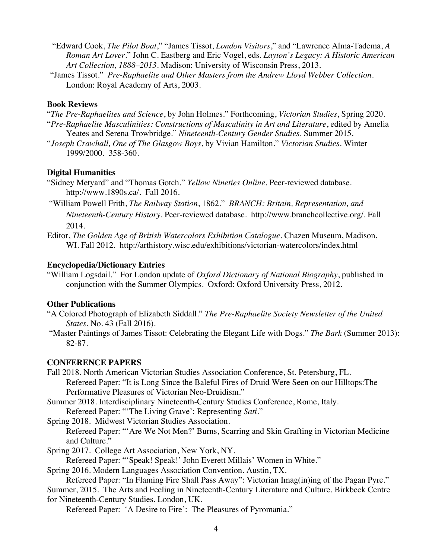- "Edward Cook, *The Pilot Boat*," "James Tissot, *London Visitors*," and "Lawrence Alma-Tadema, *A Roman Art Lover*." John C. Eastberg and Eric Vogel, eds. *Layton's Legacy: A Historic American Art Collection, 1888–2013*. Madison: University of Wisconsin Press, 2013.
- "James Tissot." *Pre-Raphaelite and Other Masters from the Andrew Lloyd Webber Collection*. London: Royal Academy of Arts, 2003.

#### **Book Reviews**

"*The Pre-Raphaelites and Science*, by John Holmes." Forthcoming, *Victorian Studies*, Spring 2020. "*Pre-Raphaelite Masculinities: Constructions of Masculinity in Art and Literature*, edited by Amelia Yeates and Serena Trowbridge." *Nineteenth-Century Gender Studies*. Summer 2015.

"*Joseph Crawhall, One of The Glasgow Boys*, by Vivian Hamilton." *Victorian Studies.* Winter 1999/2000. 358-360.

#### **Digital Humanities**

- "Sidney Metyard" and "Thomas Gotch." *Yellow Nineties Online*. Peer-reviewed database. http://www.1890s.ca/. Fall 2016.
- "William Powell Frith, *The Railway Station*, 1862." *BRANCH: Britain, Representation, and*

*Nineteenth-Century History*. Peer-reviewed database. http://www.branchcollective.org/. Fall 2014.

Editor, *The Golden Age of British Watercolors Exhibition Catalogue*. Chazen Museum, Madison, WI. Fall 2012. http://arthistory.wisc.edu/exhibitions/victorian-watercolors/index.html

#### **Encyclopedia/Dictionary Entries**

"William Logsdail." For London update of *Oxford Dictionary of National Biography*, published in conjunction with the Summer Olympics. Oxford: Oxford University Press, 2012.

#### **Other Publications**

- "A Colored Photograph of Elizabeth Siddall." *The Pre-Raphaelite Society Newsletter of the United States*, No. 43 (Fall 2016).
- "Master Paintings of James Tissot: Celebrating the Elegant Life with Dogs." *The Bark* (Summer 2013): 82-87.

#### **CONFERENCE PAPERS**

Fall 2018. North American Victorian Studies Association Conference, St. Petersburg, FL. Refereed Paper: "It is Long Since the Baleful Fires of Druid Were Seen on our Hilltops:The Performative Pleasures of Victorian Neo-Druidism."

Summer 2018. Interdisciplinary Nineteenth-Century Studies Conference, Rome, Italy.

Refereed Paper: "'The Living Grave': Representing *Sati.*"

Spring 2018. Midwest Victorian Studies Association.

Refereed Paper: "'Are We Not Men?' Burns, Scarring and Skin Grafting in Victorian Medicine and Culture."

Spring 2017. College Art Association, New York, NY.

Refereed Paper: "'Speak! Speak!' John Everett Millais' Women in White."

Spring 2016. Modern Languages Association Convention. Austin, TX.

Refereed Paper: "In Flaming Fire Shall Pass Away": Victorian Imag(in)ing of the Pagan Pyre."

 Summer, 2015. The Arts and Feeling in Nineteenth-Century Literature and Culture. Birkbeck Centre for Nineteenth-Century Studies. London, UK.

Refereed Paper: 'A Desire to Fire': The Pleasures of Pyromania."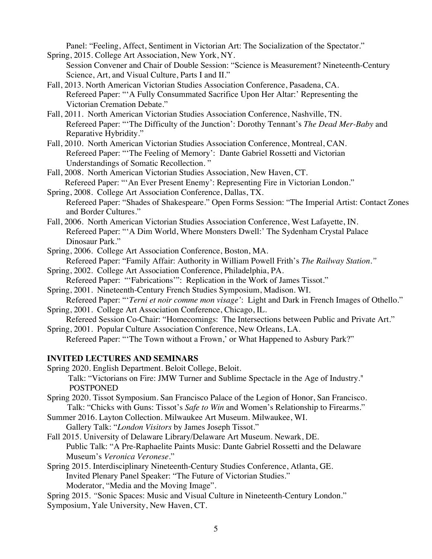Panel: "Feeling, Affect, Sentiment in Victorian Art: The Socialization of the Spectator."

- Spring, 2015. College Art Association, New York, NY. Session Convener and Chair of Double Session: "Science is Measurement? Nineteenth-Century Science, Art, and Visual Culture, Parts I and II."
- Fall, 2013. North American Victorian Studies Association Conference, Pasadena, CA. Refereed Paper: "'A Fully Consummated Sacrifice Upon Her Altar:' Representing the Victorian Cremation Debate."
- Fall, 2011. North American Victorian Studies Association Conference, Nashville, TN. Refereed Paper: "'The Difficulty of the Junction': Dorothy Tennant's *The Dead Mer-Baby* and Reparative Hybridity."
- Fall, 2010. North American Victorian Studies Association Conference, Montreal, CAN. Refereed Paper: "'The Feeling of Memory': Dante Gabriel Rossetti and Victorian Understandings of Somatic Recollection. "
- Fall, 2008. North American Victorian Studies Association, New Haven, CT. Refereed Paper: "'An Ever Present Enemy': Representing Fire in Victorian London."
- Spring, 2008. College Art Association Conference, Dallas, TX. Refereed Paper: "Shades of Shakespeare." Open Forms Session: "The Imperial Artist: Contact Zones and Border Cultures."
- Fall, 2006. North American Victorian Studies Association Conference, West Lafayette, IN. Refereed Paper: "'A Dim World, Where Monsters Dwell:' The Sydenham Crystal Palace Dinosaur Park."

Spring, 2006. College Art Association Conference, Boston, MA. Refereed Paper: "Family Affair: Authority in William Powell Frith's *The Railway Station."*

- Spring, 2002. College Art Association Conference, Philadelphia, PA.
- Refereed Paper: "'Fabrications'": Replication in the Work of James Tissot."

Spring, 2001. Nineteenth-Century French Studies Symposium, Madison. WI.

Refereed Paper: "'*Terni et noir comme mon visage'*: Light and Dark in French Images of Othello." Spring, 2001. College Art Association Conference, Chicago, IL.

Refereed Session Co-Chair: "Homecomings: The Intersections between Public and Private Art."

Spring, 2001. Popular Culture Association Conference, New Orleans, LA. Refereed Paper: "'The Town without a Frown,' or What Happened to Asbury Park?"

## **INVITED LECTURES AND SEMINARS**

Spring 2020. English Department. Beloit College, Beloit. Talk: "Victorians on Fire: JMW Turner and Sublime Spectacle in the Age of Industry." POSTPONED

- Spring 2020. Tissot Symposium. San Francisco Palace of the Legion of Honor, San Francisco. Talk: "Chicks with Guns: Tissot's *Safe to Win* and Women's Relationship to Firearms."
- Summer 2016. Layton Collection. Milwaukee Art Museum. Milwaukee, WI.

Gallery Talk: "*London Visitors* by James Joseph Tissot."

Fall 2015. University of Delaware Library/Delaware Art Museum. Newark, DE. Public Talk: "A Pre-Raphaelite Paints Music: Dante Gabriel Rossetti and the Delaware Museum's *Veronica Veronese*."

Spring 2015. Interdisciplinary Nineteenth-Century Studies Conference, Atlanta, GE. Invited Plenary Panel Speaker: "The Future of Victorian Studies." Moderator, "Media and the Moving Image".

Spring 2015. *"*Sonic Spaces: Music and Visual Culture in Nineteenth-Century London*.*"

Symposium, Yale University, New Haven, CT.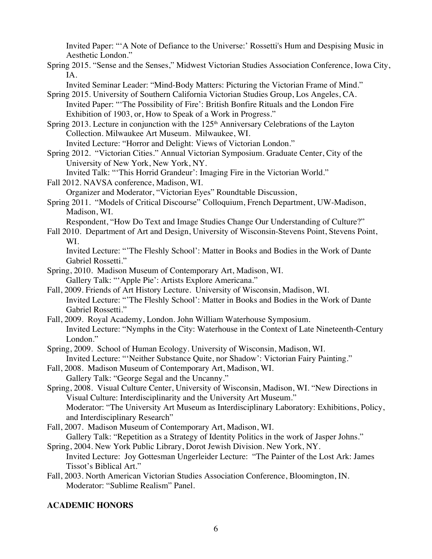Invited Paper: "'A Note of Defiance to the Universe:' Rossetti's Hum and Despising Music in Aesthetic London."

Spring 2015. "Sense and the Senses," Midwest Victorian Studies Association Conference, Iowa City, IA.

Invited Seminar Leader: "Mind-Body Matters: Picturing the Victorian Frame of Mind."

- Spring 2015. University of Southern California Victorian Studies Group, Los Angeles, CA. Invited Paper: "'The Possibility of Fire': British Bonfire Rituals and the London Fire Exhibition of 1903, or, How to Speak of a Work in Progress."
- Spring 2013. Lecture in conjunction with the  $125<sup>th</sup>$  Anniversary Celebrations of the Layton Collection. Milwaukee Art Museum. Milwaukee, WI.

Invited Lecture: "Horror and Delight: Views of Victorian London."

Spring 2012. "Victorian Cities." Annual Victorian Symposium. Graduate Center, City of the University of New York, New York, NY.

Invited Talk: "'This Horrid Grandeur': Imaging Fire in the Victorian World."

Fall 2012. NAVSA conference, Madison, WI.

Organizer and Moderator, "Victorian Eyes" Roundtable Discussion,

Spring 2011. "Models of Critical Discourse" Colloquium, French Department, UW-Madison, Madison, WI.

Respondent, "How Do Text and Image Studies Change Our Understanding of Culture?"

Fall 2010. Department of Art and Design, University of Wisconsin-Stevens Point, Stevens Point, WI.

Invited Lecture: "'The Fleshly School': Matter in Books and Bodies in the Work of Dante Gabriel Rossetti."

- Spring, 2010. Madison Museum of Contemporary Art, Madison, WI. Gallery Talk: "'Apple Pie': Artists Explore Americana."
- Fall, 2009. Friends of Art History Lecture. University of Wisconsin, Madison, WI. Invited Lecture: "'The Fleshly School': Matter in Books and Bodies in the Work of Dante Gabriel Rossetti."
- Fall, 2009. Royal Academy, London. John William Waterhouse Symposium. Invited Lecture: "Nymphs in the City: Waterhouse in the Context of Late Nineteenth-Century London."
- Spring, 2009. School of Human Ecology. University of Wisconsin, Madison, WI. Invited Lecture: "'Neither Substance Quite, nor Shadow': Victorian Fairy Painting."
- Fall, 2008. Madison Museum of Contemporary Art, Madison, WI. Gallery Talk: "George Segal and the Uncanny."
- Spring, 2008. Visual Culture Center, University of Wisconsin, Madison, WI. "New Directions in Visual Culture: Interdisciplinarity and the University Art Museum." Moderator: "The University Art Museum as Interdisciplinary Laboratory: Exhibitions, Policy, and Interdisciplinary Research"
- Fall, 2007. Madison Museum of Contemporary Art, Madison, WI. Gallery Talk: "Repetition as a Strategy of Identity Politics in the work of Jasper Johns."
- Spring, 2004. New York Public Library, Dorot Jewish Division. New York, NY. Invited Lecture: Joy Gottesman Ungerleider Lecture: "The Painter of the Lost Ark: James Tissot's Biblical Art."
- Fall, 2003. North American Victorian Studies Association Conference, Bloomington, IN. Moderator: "Sublime Realism" Panel.

# **ACADEMIC HONORS**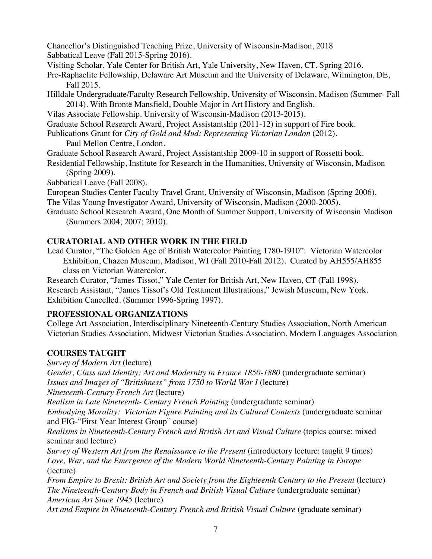Chancellor's Distinguished Teaching Prize, University of Wisconsin-Madison, 2018

Sabbatical Leave (Fall 2015-Spring 2016).

Visiting Scholar, Yale Center for British Art, Yale University, New Haven, CT. Spring 2016.

Pre-Raphaelite Fellowship, Delaware Art Museum and the University of Delaware, Wilmington, DE, Fall 2015.

Hilldale Undergraduate/Faculty Research Fellowship, University of Wisconsin, Madison (Summer- Fall 2014). With Brontë Mansfield, Double Major in Art History and English.

Vilas Associate Fellowship. University of Wisconsin-Madison (2013-2015).

Graduate School Research Award, Project Assistantship (2011-12) in support of Fire book.

Publications Grant for *City of Gold and Mud: Representing Victorian London* (2012).

Paul Mellon Centre, London.

Graduate School Research Award, Project Assistantship 2009-10 in support of Rossetti book.

Residential Fellowship, Institute for Research in the Humanities, University of Wisconsin, Madison (Spring 2009).

Sabbatical Leave (Fall 2008).

European Studies Center Faculty Travel Grant, University of Wisconsin, Madison (Spring 2006).

The Vilas Young Investigator Award, University of Wisconsin, Madison (2000-2005).

Graduate School Research Award, One Month of Summer Support, University of Wisconsin Madison (Summers 2004; 2007; 2010).

# **CURATORIAL AND OTHER WORK IN THE FIELD**

Lead Curator, "The Golden Age of British Watercolor Painting 1780-1910": Victorian Watercolor Exhibition, Chazen Museum, Madison, WI (Fall 2010-Fall 2012). Curated by AH555/AH855 class on Victorian Watercolor.

Research Curator, "James Tissot," Yale Center for British Art, New Haven, CT (Fall 1998). Research Assistant, "James Tissot's Old Testament Illustrations," Jewish Museum, New York. Exhibition Cancelled. (Summer 1996-Spring 1997).

## **PROFESSIONAL ORGANIZATIONS**

College Art Association, Interdisciplinary Nineteenth-Century Studies Association, North American Victorian Studies Association, Midwest Victorian Studies Association, Modern Languages Association

# **COURSES TAUGHT**

*Survey of Modern Art* (lecture) *Gender, Class and Identity: Art and Modernity in France 1850-1880* (undergraduate seminar) *Issues and Images of "Britishness" from 1750 to World War I* (lecture) *Nineteenth-Century French Art* (lecture) *Realism in Late Nineteenth- Century French Painting* (undergraduate seminar)

*Embodying Morality: Victorian Figure Painting and its Cultural Contexts* (undergraduate seminar and FIG-"First Year Interest Group" course)

*Realisms in Nineteenth-Century French and British Art and Visual Culture* (topics course: mixed seminar and lecture)

*Survey of Western Art from the Renaissance to the Present* (introductory lecture: taught 9 times) *Love, War, and the Emergence of the Modern World Nineteenth-Century Painting in Europe* (lecture)

*From Empire to Brexit: British Art and Society from the Eighteenth Century to the Present* (lecture) *The Nineteenth-Century Body in French and British Visual Culture* (undergraduate seminar) *American Art Since 1945* (lecture)

*Art and Empire in Nineteenth-Century French and British Visual Culture* (graduate seminar)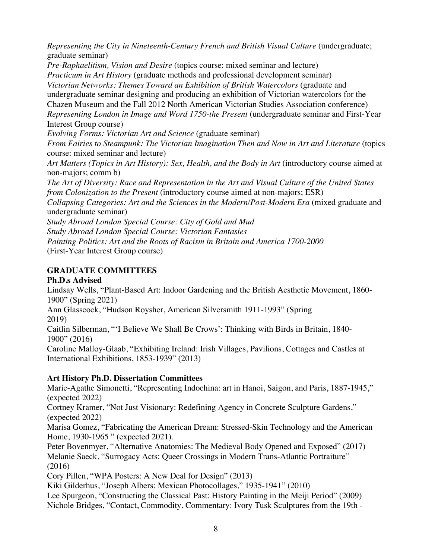*Representing the City in Nineteenth-Century French and British Visual Culture* (undergraduate; graduate seminar) *Pre-Raphaelitism, Vision and Desire* (topics course: mixed seminar and lecture) *Practicum in Art History* (graduate methods and professional development seminar) *Victorian Networks: Themes Toward an Exhibition of British Watercolors* (graduate and undergraduate seminar designing and producing an exhibition of Victorian watercolors for the Chazen Museum and the Fall 2012 North American Victorian Studies Association conference) *Representing London in Image and Word 1750-the Present* (undergraduate seminar and First-Year Interest Group course) *Evolving Forms: Victorian Art and Science* (graduate seminar) *From Fairies to Steampunk: The Victorian Imagination Then and Now in Art and Literature* (topics course: mixed seminar and lecture) *Art Matters (Topics in Art History): Sex, Health, and the Body in Art* (introductory course aimed at non-majors; comm b) *The Art of Diversity: Race and Representation in the Art and Visual Culture of the United States from Colonization to the Present* (introductory course aimed at non-majors; ESR) *Collapsing Categories: Art and the Sciences in the Modern/Post-Modern Era* (mixed graduate and undergraduate seminar) *Study Abroad London Special Course: City of Gold and Mud Study Abroad London Special Course: Victorian Fantasies*

*Painting Politics: Art and the Roots of Racism in Britain and America 1700-2000* (First-Year Interest Group course)

# **GRADUATE COMMITTEES**

## **Ph.D.s Advised**

Lindsay Wells, "Plant-Based Art: Indoor Gardening and the British Aesthetic Movement, 1860- 1900" (Spring 2021)

Ann Glasscock, "Hudson Roysher, American Silversmith 1911-1993" (Spring 2019)

Caitlin Silberman, "'I Believe We Shall Be Crows': Thinking with Birds in Britain, 1840- 1900" (2016)

Caroline Malloy-Glaab, "Exhibiting Ireland: Irish Villages, Pavilions, Cottages and Castles at International Exhibitions, 1853-1939" (2013)

## **Art History Ph.D. Dissertation Committees**

Marie-Agathe Simonetti, "Representing Indochina: art in Hanoi, Saigon, and Paris, 1887-1945," (expected 2022)

Cortney Kramer, "Not Just Visionary: Redefining Agency in Concrete Sculpture Gardens," (expected 2022)

Marisa Gomez, "Fabricating the American Dream: Stressed-Skin Technology and the American Home, 1930-1965 " (expected 2021).

Peter Bovenmyer, "Alternative Anatomies: The Medieval Body Opened and Exposed" (2017) Melanie Saeck, "Surrogacy Acts: Queer Crossings in Modern Trans-Atlantic Portraiture" (2016)

Cory Pillen, "WPA Posters: A New Deal for Design" (2013)

Kiki Gilderhus, "Joseph Albers: Mexican Photocollages," 1935-1941" (2010)

Lee Spurgeon, "Constructing the Classical Past: History Painting in the Meiji Period" (2009) Nichole Bridges, "Contact, Commodity, Commentary: Ivory Tusk Sculptures from the 19th -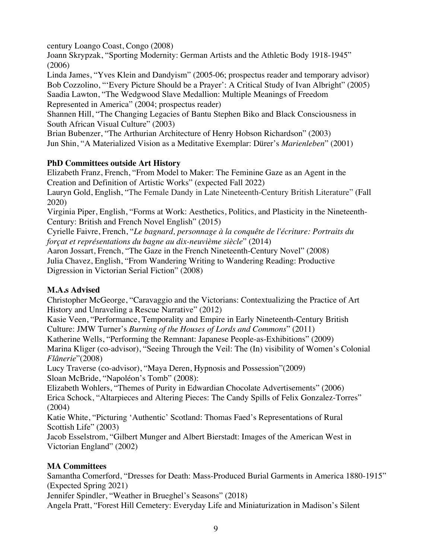century Loango Coast, Congo (2008)

Joann Skrypzak, "Sporting Modernity: German Artists and the Athletic Body 1918-1945" (2006)

Linda James, "Yves Klein and Dandyism" (2005-06; prospectus reader and temporary advisor) Bob Cozzolino, "'Every Picture Should be a Prayer': A Critical Study of Ivan Albright" (2005) Saadia Lawton, "The Wedgwood Slave Medallion: Multiple Meanings of Freedom Represented in America" (2004; prospectus reader)

Shannen Hill, "The Changing Legacies of Bantu Stephen Biko and Black Consciousness in South African Visual Culture" (2003)

Brian Bubenzer, "The Arthurian Architecture of Henry Hobson Richardson" (2003) Jun Shin, "A Materialized Vision as a Meditative Exemplar: Dürer's *Marienleben*" (2001)

# **PhD Committees outside Art History**

Elizabeth Franz, French, "From Model to Maker: The Feminine Gaze as an Agent in the Creation and Definition of Artistic Works" (expected Fall 2022)

Lauryn Gold, English, "The Female Dandy in Late Nineteenth-Century British Literature" (Fall 2020)

Virginia Piper, English, "Forms at Work: Aesthetics, Politics, and Plasticity in the Nineteenth-Century: British and French Novel English" (2015)

Cyrielle Faivre, French, "*Le bagnard, personnage à la conquête de l'écriture: Portraits du forçat et représentations du bagne au dix-neuvième siècle*" (2014)

Aaron Jossart, French, "The Gaze in the French Nineteenth-Century Novel" (2008) Julia Chavez, English, "From Wandering Writing to Wandering Reading: Productive Digression in Victorian Serial Fiction" (2008)

# **M.A.s Advised**

Christopher McGeorge, "Caravaggio and the Victorians: Contextualizing the Practice of Art History and Unraveling a Rescue Narrative" (2012)

Kasie Veen, "Performance, Temporality and Empire in Early Nineteenth-Century British Culture: JMW Turner's *Burning of the Houses of Lords and Commons*" (2011)

Katherine Wells, "Performing the Remnant: Japanese People-as-Exhibitions" (2009)

Marina Kliger (co-advisor), "Seeing Through the Veil: The (In) visibility of Women's Colonial *Flânerie*"(2008)

Lucy Traverse (co-advisor), "Maya Deren, Hypnosis and Possession"(2009) Sloan McBride, "Napoléon's Tomb" (2008):

Elizabeth Wohlers, "Themes of Purity in Edwardian Chocolate Advertisements" (2006) Erica Schock, "Altarpieces and Altering Pieces: The Candy Spills of Felix Gonzalez-Torres" (2004)

Katie White, "Picturing 'Authentic' Scotland: Thomas Faed's Representations of Rural Scottish Life" (2003)

Jacob Esselstrom, "Gilbert Munger and Albert Bierstadt: Images of the American West in Victorian England" (2002)

# **MA Committees**

Samantha Comerford, "Dresses for Death: Mass-Produced Burial Garments in America 1880-1915" (Expected Spring 2021)

Jennifer Spindler, "Weather in Brueghel's Seasons" (2018)

Angela Pratt, "Forest Hill Cemetery: Everyday Life and Miniaturization in Madison's Silent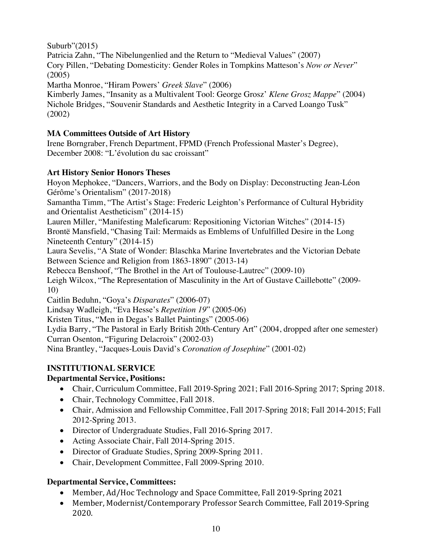Suburb"(2015)

Patricia Zahn, "The Nibelungenlied and the Return to "Medieval Values" (2007) Cory Pillen, "Debating Domesticity: Gender Roles in Tompkins Matteson's *Now or Never*" (2005)

Martha Monroe, "Hiram Powers' *Greek Slave*" (2006)

Kimberly James, "Insanity as a Multivalent Tool: George Grosz' *Klene Grosz Mappe*" (2004) Nichole Bridges, "Souvenir Standards and Aesthetic Integrity in a Carved Loango Tusk" (2002)

# **MA Committees Outside of Art History**

Irene Borngraber, French Department, FPMD (French Professional Master's Degree), December 2008: "L'évolution du sac croissant"

# **Art History Senior Honors Theses**

Hoyon Mephokee, "Dancers, Warriors, and the Body on Display: Deconstructing Jean-Léon Gérôme's Orientalism" (2017-2018)

Samantha Timm, "The Artist's Stage: Frederic Leighton's Performance of Cultural Hybridity and Orientalist Aestheticism" (2014-15)

Lauren Miller, "Manifesting Maleficarum: Repositioning Victorian Witches" (2014-15) Brontë Mansfield, "Chasing Tail: Mermaids as Emblems of Unfulfilled Desire in the Long Nineteenth Century" (2014-15)

Laura Sevelis, "A State of Wonder: Blaschka Marine Invertebrates and the Victorian Debate Between Science and Religion from 1863-1890" (2013-14)

Rebecca Benshoof, "The Brothel in the Art of Toulouse-Lautrec" (2009-10)

Leigh Wilcox, "The Representation of Masculinity in the Art of Gustave Caillebotte" (2009- 10)

Caitlin Beduhn, "Goya's *Disparates*" (2006-07)

Lindsay Wadleigh, "Eva Hesse's *Repetition 19*" (2005-06)

Kristen Titus, "Men in Degas's Ballet Paintings" (2005-06)

Lydia Barry, "The Pastoral in Early British 20th-Century Art" (2004, dropped after one semester) Curran Osenton, "Figuring Delacroix" (2002-03)

Nina Brantley, "Jacques-Louis David's *Coronation of Josephine*" (2001-02)

# **INSTITUTIONAL SERVICE**

# **Departmental Service, Positions:**

- Chair, Curriculum Committee, Fall 2019-Spring 2021; Fall 2016-Spring 2017; Spring 2018.
- Chair, Technology Committee, Fall 2018.
- Chair, Admission and Fellowship Committee, Fall 2017-Spring 2018; Fall 2014-2015; Fall 2012-Spring 2013.
- Director of Undergraduate Studies, Fall 2016-Spring 2017.
- Acting Associate Chair, Fall 2014-Spring 2015.
- Director of Graduate Studies, Spring 2009-Spring 2011.
- Chair, Development Committee, Fall 2009-Spring 2010.

# **Departmental Service, Committees:**

- Member, Ad/Hoc Technology and Space Committee, Fall 2019-Spring 2021
- Member, Modernist/Contemporary Professor Search Committee, Fall 2019-Spring 2020.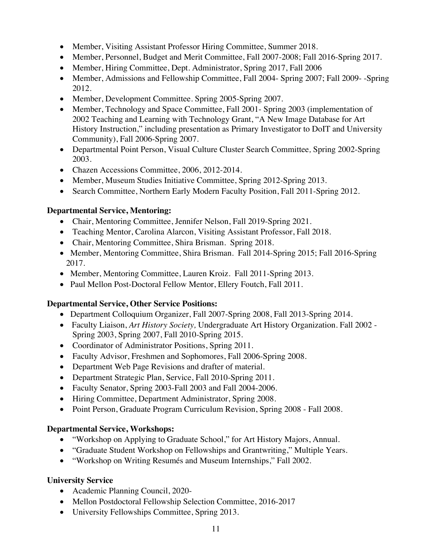- Member, Visiting Assistant Professor Hiring Committee, Summer 2018.
- Member, Personnel, Budget and Merit Committee, Fall 2007-2008; Fall 2016-Spring 2017.
- Member, Hiring Committee, Dept. Administrator, Spring 2017, Fall 2006
- Member, Admissions and Fellowship Committee, Fall 2004- Spring 2007; Fall 2009- -Spring 2012.
- Member, Development Committee. Spring 2005-Spring 2007.
- Member, Technology and Space Committee, Fall 2001 Spring 2003 (implementation of 2002 Teaching and Learning with Technology Grant, "A New Image Database for Art History Instruction," including presentation as Primary Investigator to DoIT and University Community), Fall 2006-Spring 2007.
- Departmental Point Person, Visual Culture Cluster Search Committee*,* Spring 2002-Spring 2003.
- Chazen Accessions Committee, 2006, 2012-2014.
- Member, Museum Studies Initiative Committee, Spring 2012-Spring 2013.
- Search Committee, Northern Early Modern Faculty Position, Fall 2011-Spring 2012.

## **Departmental Service, Mentoring:**

- Chair, Mentoring Committee, Jennifer Nelson, Fall 2019-Spring 2021.
- Teaching Mentor, Carolina Alarcon, Visiting Assistant Professor, Fall 2018.
- Chair, Mentoring Committee, Shira Brisman. Spring 2018.
- Member, Mentoring Committee, Shira Brisman. Fall 2014-Spring 2015; Fall 2016-Spring 2017.
- Member, Mentoring Committee, Lauren Kroiz. Fall 2011-Spring 2013.
- Paul Mellon Post-Doctoral Fellow Mentor, Ellery Foutch, Fall 2011.

## **Departmental Service, Other Service Positions:**

- Department Colloquium Organizer, Fall 2007-Spring 2008, Fall 2013-Spring 2014.
- Faculty Liaison, *Art History Society,* Undergraduate Art History Organization. Fall 2002 Spring 2003, Spring 2007, Fall 2010-Spring 2015.
- Coordinator of Administrator Positions, Spring 2011.
- Faculty Advisor, Freshmen and Sophomores, Fall 2006-Spring 2008.
- Department Web Page Revisions and drafter of material.
- Department Strategic Plan, Service, Fall 2010-Spring 2011.
- Faculty Senator, Spring 2003-Fall 2003 and Fall 2004-2006.
- Hiring Committee, Department Administrator, Spring 2008.
- Point Person, Graduate Program Curriculum Revision, Spring 2008 Fall 2008.

## **Departmental Service, Workshops:**

- "Workshop on Applying to Graduate School," for Art History Majors, Annual.
- "Graduate Student Workshop on Fellowships and Grantwriting," Multiple Years.
- "Workshop on Writing Resumés and Museum Internships," Fall 2002.

## **University Service**

- Academic Planning Council, 2020-
- Mellon Postdoctoral Fellowship Selection Committee, 2016-2017
- University Fellowships Committee, Spring 2013.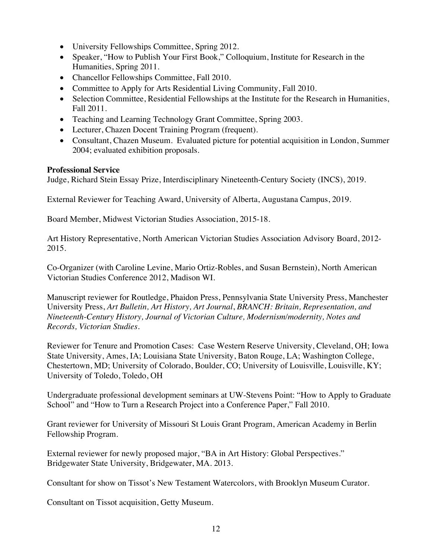- University Fellowships Committee, Spring 2012.
- Speaker, "How to Publish Your First Book," Colloquium, Institute for Research in the Humanities, Spring 2011.
- Chancellor Fellowships Committee, Fall 2010.
- Committee to Apply for Arts Residential Living Community, Fall 2010.
- Selection Committee, Residential Fellowships at the Institute for the Research in Humanities, Fall 2011.
- Teaching and Learning Technology Grant Committee, Spring 2003.
- Lecturer, Chazen Docent Training Program (frequent).
- Consultant, Chazen Museum. Evaluated picture for potential acquisition in London, Summer 2004; evaluated exhibition proposals.

### **Professional Service**

Judge, Richard Stein Essay Prize, Interdisciplinary Nineteenth-Century Society (INCS), 2019.

External Reviewer for Teaching Award, University of Alberta, Augustana Campus, 2019.

Board Member, Midwest Victorian Studies Association, 2015-18.

Art History Representative, North American Victorian Studies Association Advisory Board, 2012- 2015.

Co-Organizer (with Caroline Levine, Mario Ortiz-Robles, and Susan Bernstein), North American Victorian Studies Conference 2012, Madison WI.

Manuscript reviewer for Routledge, Phaidon Press, Pennsylvania State University Press, Manchester University Press, *Art Bulletin, Art History, Art Journal*, *BRANCH: Britain, Representation, and Nineteenth-Century History, Journal of Victorian Culture, Modernism/modernity, Notes and Records, Victorian Studies.*

Reviewer for Tenure and Promotion Cases: Case Western Reserve University, Cleveland, OH; Iowa State University, Ames, IA; Louisiana State University, Baton Rouge, LA; Washington College, Chestertown, MD; University of Colorado, Boulder, CO; University of Louisville, Louisville, KY; University of Toledo, Toledo, OH

Undergraduate professional development seminars at UW-Stevens Point: "How to Apply to Graduate School" and "How to Turn a Research Project into a Conference Paper," Fall 2010.

Grant reviewer for University of Missouri St Louis Grant Program, American Academy in Berlin Fellowship Program.

External reviewer for newly proposed major, "BA in Art History: Global Perspectives." Bridgewater State University, Bridgewater, MA. 2013.

Consultant for show on Tissot's New Testament Watercolors, with Brooklyn Museum Curator.

Consultant on Tissot acquisition, Getty Museum.